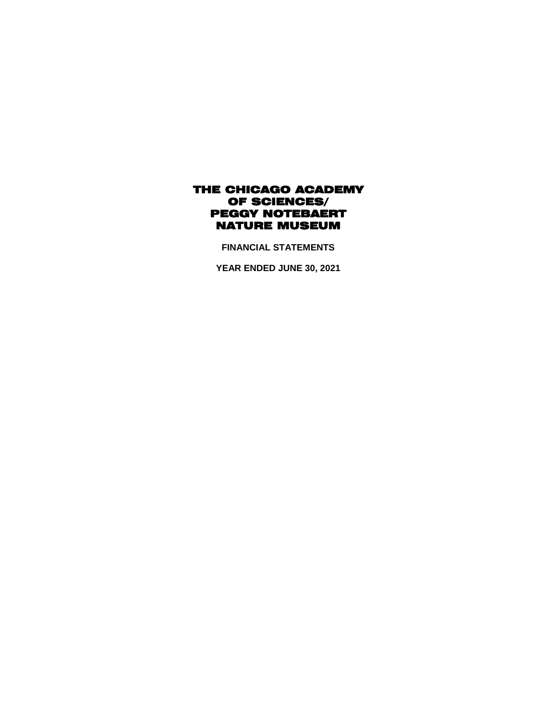**FINANCIAL STATEMENTS**

**YEAR ENDED JUNE 30, 2021**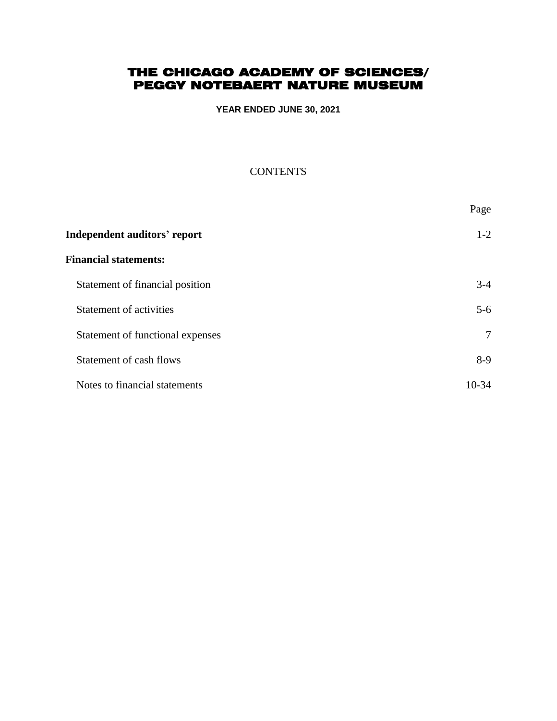**YEAR ENDED JUNE 30, 2021**

### **CONTENTS**

|                                  | Page    |
|----------------------------------|---------|
| Independent auditors' report     | $1 - 2$ |
| <b>Financial statements:</b>     |         |
| Statement of financial position  | $3-4$   |
| <b>Statement of activities</b>   | $5 - 6$ |
| Statement of functional expenses | 7       |
| Statement of cash flows          | $8-9$   |
| Notes to financial statements    | $10-34$ |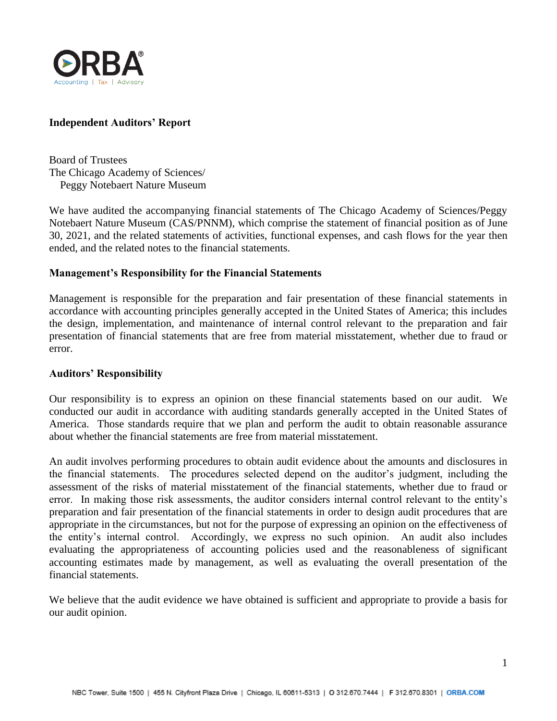

### **Independent Auditors' Report**

Board of Trustees The Chicago Academy of Sciences/ Peggy Notebaert Nature Museum

We have audited the accompanying financial statements of The Chicago Academy of Sciences/Peggy Notebaert Nature Museum (CAS/PNNM), which comprise the statement of financial position as of June 30, 2021, and the related statements of activities, functional expenses, and cash flows for the year then ended, and the related notes to the financial statements.

#### **Management's Responsibility for the Financial Statements**

Management is responsible for the preparation and fair presentation of these financial statements in accordance with accounting principles generally accepted in the United States of America; this includes the design, implementation, and maintenance of internal control relevant to the preparation and fair presentation of financial statements that are free from material misstatement, whether due to fraud or error.

#### **Auditors' Responsibility**

Our responsibility is to express an opinion on these financial statements based on our audit. We conducted our audit in accordance with auditing standards generally accepted in the United States of America. Those standards require that we plan and perform the audit to obtain reasonable assurance about whether the financial statements are free from material misstatement.

An audit involves performing procedures to obtain audit evidence about the amounts and disclosures in the financial statements. The procedures selected depend on the auditor's judgment, including the assessment of the risks of material misstatement of the financial statements, whether due to fraud or error. In making those risk assessments, the auditor considers internal control relevant to the entity's preparation and fair presentation of the financial statements in order to design audit procedures that are appropriate in the circumstances, but not for the purpose of expressing an opinion on the effectiveness of the entity's internal control. Accordingly, we express no such opinion. An audit also includes evaluating the appropriateness of accounting policies used and the reasonableness of significant accounting estimates made by management, as well as evaluating the overall presentation of the financial statements.

We believe that the audit evidence we have obtained is sufficient and appropriate to provide a basis for our audit opinion.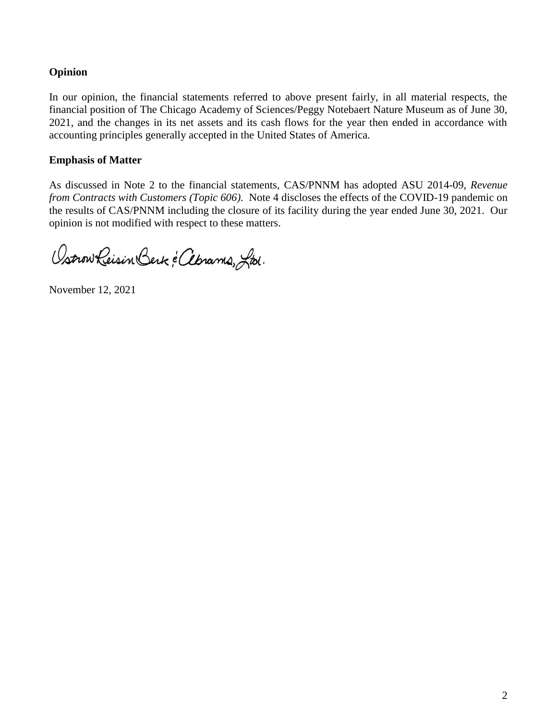### **Opinion**

In our opinion, the financial statements referred to above present fairly, in all material respects, the financial position of The Chicago Academy of Sciences/Peggy Notebaert Nature Museum as of June 30, 2021, and the changes in its net assets and its cash flows for the year then ended in accordance with accounting principles generally accepted in the United States of America.

### **Emphasis of Matter**

As discussed in Note 2 to the financial statements, CAS/PNNM has adopted ASU 2014-09, *Revenue from Contracts with Customers (Topic 606)*.Note 4 discloses the effects of the COVID-19 pandemic on the results of CAS/PNNM including the closure of its facility during the year ended June 30, 2021. Our opinion is not modified with respect to these matters.

Ostrow Reisin Berk & Cebrams, Ltd.

November 12, 2021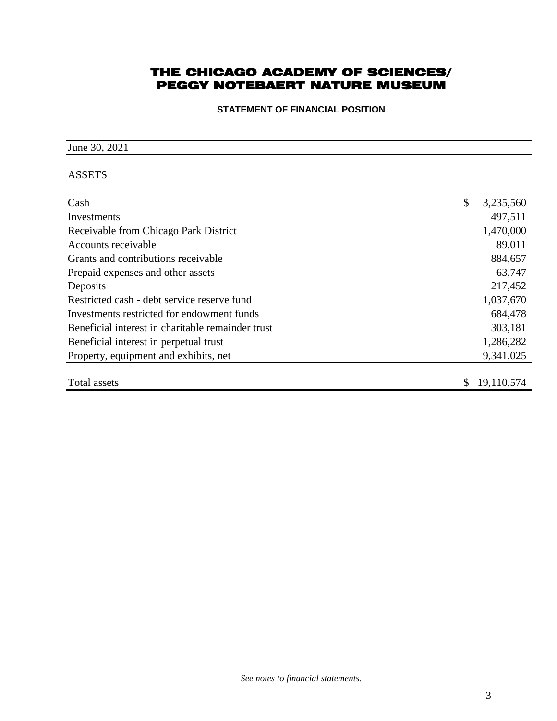**STATEMENT OF FINANCIAL POSITION**

### June 30, 2021

### ASSETS

| Cash                                              | \$<br>3,235,560  |
|---------------------------------------------------|------------------|
| Investments                                       | 497,511          |
| Receivable from Chicago Park District             | 1,470,000        |
| Accounts receivable                               | 89,011           |
| Grants and contributions receivable               | 884,657          |
| Prepaid expenses and other assets                 | 63,747           |
| Deposits                                          | 217,452          |
| Restricted cash - debt service reserve fund       | 1,037,670        |
| Investments restricted for endowment funds        | 684,478          |
| Beneficial interest in charitable remainder trust | 303,181          |
| Beneficial interest in perpetual trust            | 1,286,282        |
| Property, equipment and exhibits, net             | 9,341,025        |
|                                                   |                  |
| Total assets                                      | \$<br>19,110,574 |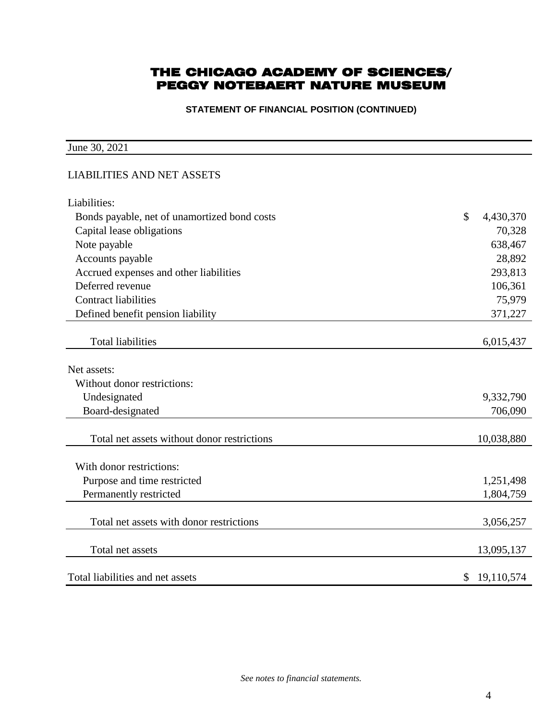**STATEMENT OF FINANCIAL POSITION (CONTINUED)**

| June 30, 2021                                |                 |
|----------------------------------------------|-----------------|
| <b>LIABILITIES AND NET ASSETS</b>            |                 |
| Liabilities:                                 |                 |
| Bonds payable, net of unamortized bond costs | \$<br>4,430,370 |
| Capital lease obligations                    | 70,328          |
| Note payable                                 | 638,467         |
| Accounts payable                             | 28,892          |
| Accrued expenses and other liabilities       | 293,813         |
| Deferred revenue                             | 106,361         |
| <b>Contract liabilities</b>                  | 75,979          |
| Defined benefit pension liability            | 371,227         |
|                                              |                 |
| <b>Total liabilities</b>                     | 6,015,437       |
| Net assets:                                  |                 |
| Without donor restrictions:                  |                 |
| Undesignated                                 | 9,332,790       |
| Board-designated                             | 706,090         |
|                                              |                 |
| Total net assets without donor restrictions  | 10,038,880      |
|                                              |                 |
| With donor restrictions:                     |                 |
| Purpose and time restricted                  | 1,251,498       |
| Permanently restricted                       | 1,804,759       |
|                                              |                 |
| Total net assets with donor restrictions     | 3,056,257       |
|                                              |                 |
| Total net assets                             | 13,095,137      |
| Total liabilities and net assets             | \$              |
|                                              | 19,110,574      |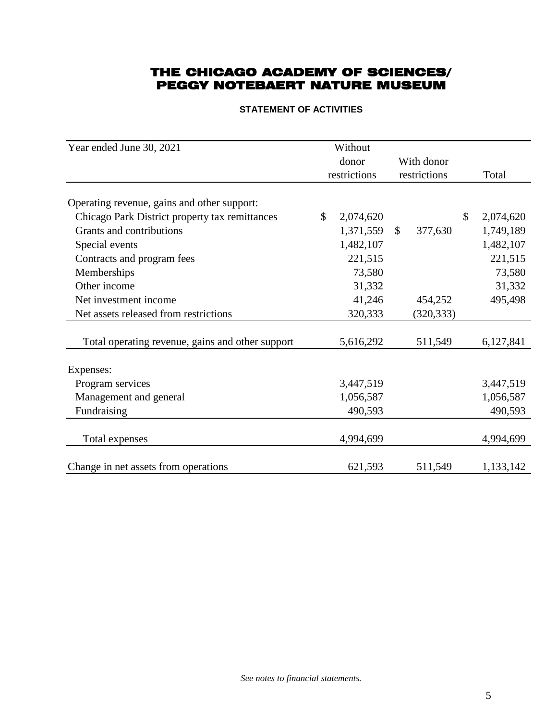#### **STATEMENT OF ACTIVITIES**

| Year ended June 30, 2021                         |               | Without      |              |              |               |           |
|--------------------------------------------------|---------------|--------------|--------------|--------------|---------------|-----------|
|                                                  | donor         |              |              | With donor   |               |           |
|                                                  |               | restrictions |              | restrictions |               | Total     |
|                                                  |               |              |              |              |               |           |
| Operating revenue, gains and other support:      |               |              |              |              |               |           |
| Chicago Park District property tax remittances   | $\mathcal{S}$ | 2,074,620    |              |              | $\mathcal{S}$ | 2,074,620 |
| Grants and contributions                         |               | 1,371,559    | $\mathbb{S}$ | 377,630      |               | 1,749,189 |
| Special events                                   |               | 1,482,107    |              |              |               | 1,482,107 |
| Contracts and program fees                       |               | 221,515      |              |              |               | 221,515   |
| Memberships                                      |               | 73,580       |              |              |               | 73,580    |
| Other income                                     |               | 31,332       |              |              |               | 31,332    |
| Net investment income                            |               | 41,246       |              | 454,252      |               | 495,498   |
| Net assets released from restrictions            |               | 320,333      |              | (320, 333)   |               |           |
|                                                  |               |              |              |              |               |           |
| Total operating revenue, gains and other support |               | 5,616,292    |              | 511,549      |               | 6,127,841 |
|                                                  |               |              |              |              |               |           |
| Expenses:                                        |               |              |              |              |               |           |
| Program services                                 |               | 3,447,519    |              |              |               | 3,447,519 |
| Management and general                           |               | 1,056,587    |              |              |               | 1,056,587 |
| Fundraising                                      |               | 490,593      |              |              |               | 490,593   |
|                                                  |               |              |              |              |               |           |
| Total expenses                                   |               | 4,994,699    |              |              |               | 4,994,699 |
|                                                  |               |              |              |              |               |           |
| Change in net assets from operations             |               | 621,593      |              | 511,549      |               | 1,133,142 |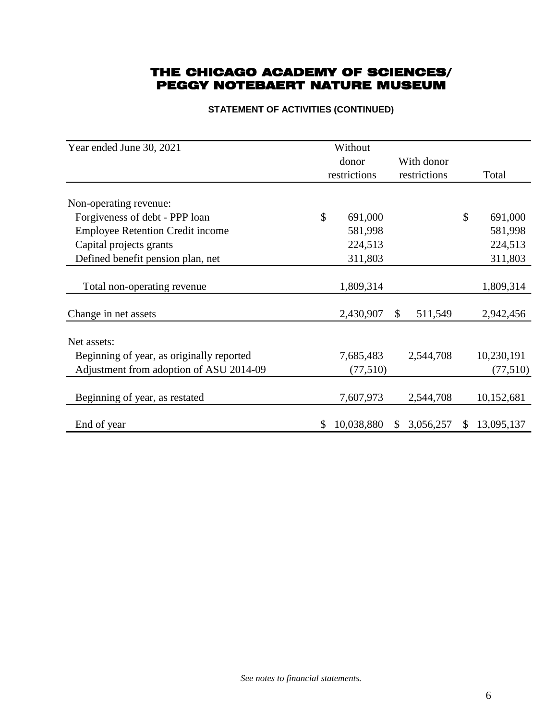### **STATEMENT OF ACTIVITIES (CONTINUED)**

| Year ended June 30, 2021                  |       | Without      |                 |               |            |
|-------------------------------------------|-------|--------------|-----------------|---------------|------------|
|                                           | donor |              | With donor      |               |            |
|                                           |       | restrictions | restrictions    |               | Total      |
|                                           |       |              |                 |               |            |
| Non-operating revenue:                    |       |              |                 |               |            |
| Forgiveness of debt - PPP loan            | \$    | 691,000      |                 | \$            | 691,000    |
| <b>Employee Retention Credit income</b>   |       | 581,998      |                 |               | 581,998    |
| Capital projects grants                   |       | 224,513      |                 |               | 224,513    |
| Defined benefit pension plan, net         |       | 311,803      |                 |               | 311,803    |
|                                           |       |              |                 |               |            |
| Total non-operating revenue               |       | 1,809,314    |                 |               | 1,809,314  |
|                                           |       |              |                 |               |            |
| Change in net assets                      |       | 2,430,907    | \$<br>511,549   |               | 2,942,456  |
|                                           |       |              |                 |               |            |
| Net assets:                               |       |              |                 |               |            |
| Beginning of year, as originally reported |       | 7,685,483    | 2,544,708       |               | 10,230,191 |
| Adjustment from adoption of ASU 2014-09   |       | (77,510)     |                 |               | (77,510)   |
|                                           |       |              |                 |               |            |
| Beginning of year, as restated            |       | 7,607,973    | 2,544,708       |               | 10,152,681 |
|                                           |       |              |                 |               |            |
| End of year                               | \$    | 10,038,880   | \$<br>3,056,257 | <sup>\$</sup> | 13,095,137 |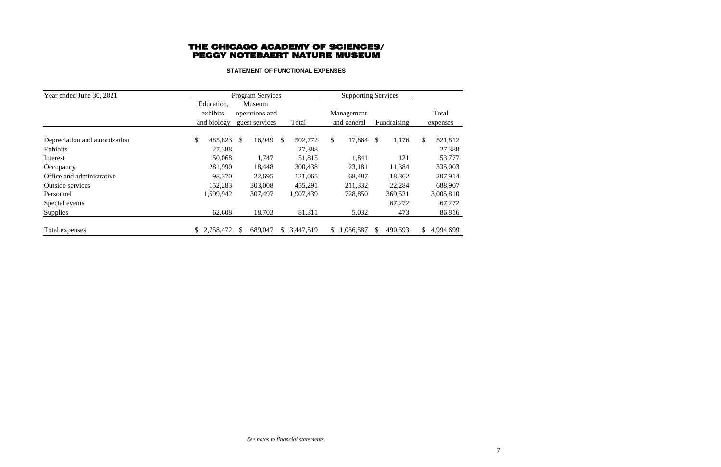### **STATEMENT OF FUNCTIONAL EXPENSES**

| Year ended June 30, 2021      |                 | <b>Program Services</b><br><b>Supporting Services</b> |                |               |           |               |             |    |             |              |           |
|-------------------------------|-----------------|-------------------------------------------------------|----------------|---------------|-----------|---------------|-------------|----|-------------|--------------|-----------|
|                               | Education,      |                                                       | Museum         |               |           |               |             |    |             |              |           |
|                               | exhibits        |                                                       | operations and |               |           |               | Management  |    |             |              | Total     |
|                               | and biology     |                                                       | guest services |               | Total     |               | and general |    | Fundraising |              | expenses  |
| Depreciation and amortization | \$<br>485,823   | \$                                                    | 16,949         | $\mathcal{S}$ | 502,772   | $\mathcal{S}$ | 17,864      | \$ | 1,176       | $\mathbb{S}$ | 521,812   |
| Exhibits                      | 27,388          |                                                       |                |               | 27,388    |               |             |    |             |              | 27,388    |
| Interest                      | 50,068          |                                                       | 1,747          |               | 51,815    |               | 1,841       |    | 121         |              | 53,777    |
| Occupancy                     | 281,990         |                                                       | 18,448         |               | 300,438   |               | 23,181      |    | 11,384      |              | 335,003   |
| Office and administrative     | 98,370          |                                                       | 22,695         |               | 121,065   |               | 68,487      |    | 18,362      |              | 207,914   |
| Outside services              | 152,283         |                                                       | 303,008        |               | 455,291   |               | 211,332     |    | 22,284      |              | 688,907   |
| Personnel                     | 1,599,942       |                                                       | 307,497        |               | 1,907,439 |               | 728,850     |    | 369,521     |              | 3,005,810 |
| Special events                |                 |                                                       |                |               |           |               |             |    | 67,272      |              | 67,272    |
| Supplies                      | 62,608          |                                                       | 18,703         |               | 81,311    |               | 5,032       |    | 473         |              | 86,816    |
| Total expenses                | \$<br>2,758,472 | \$                                                    | 689,047        | \$            | 3,447,519 | \$            | 1,056,587   | \$ | 490,593     | \$           | 4,994,699 |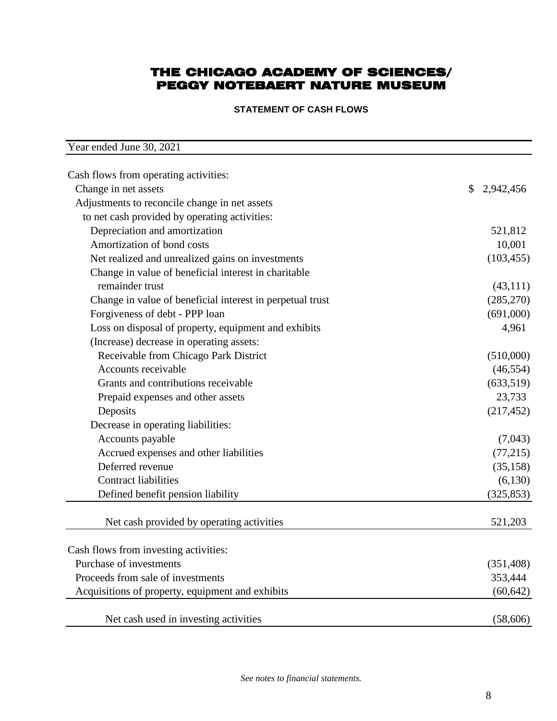**STATEMENT OF CASH FLOWS**

Year ended June 30, 2021

| Cash flows from operating activities:                     |                 |
|-----------------------------------------------------------|-----------------|
| Change in net assets                                      | \$<br>2,942,456 |
| Adjustments to reconcile change in net assets             |                 |
| to net cash provided by operating activities:             |                 |
| Depreciation and amortization                             | 521,812         |
| Amortization of bond costs                                | 10,001          |
| Net realized and unrealized gains on investments          | (103, 455)      |
| Change in value of beneficial interest in charitable      |                 |
| remainder trust                                           | (43,111)        |
| Change in value of beneficial interest in perpetual trust | (285, 270)      |
| Forgiveness of debt - PPP loan                            | (691,000)       |
| Loss on disposal of property, equipment and exhibits      | 4,961           |
| (Increase) decrease in operating assets:                  |                 |
| Receivable from Chicago Park District                     | (510,000)       |
| Accounts receivable                                       | (46, 554)       |
| Grants and contributions receivable                       | (633,519)       |
| Prepaid expenses and other assets                         | 23,733          |
| Deposits                                                  | (217, 452)      |
| Decrease in operating liabilities:                        |                 |
| Accounts payable                                          | (7,043)         |
| Accrued expenses and other liabilities                    | (77, 215)       |
| Deferred revenue                                          | (35, 158)       |
| <b>Contract liabilities</b>                               | (6,130)         |
| Defined benefit pension liability                         | (325, 853)      |
| Net cash provided by operating activities                 | 521,203         |
|                                                           |                 |
| Cash flows from investing activities:                     |                 |
| Purchase of investments                                   | (351, 408)      |
| Proceeds from sale of investments                         | 353,444         |
| Acquisitions of property, equipment and exhibits          | (60, 642)       |
| Net cash used in investing activities                     | (58,606)        |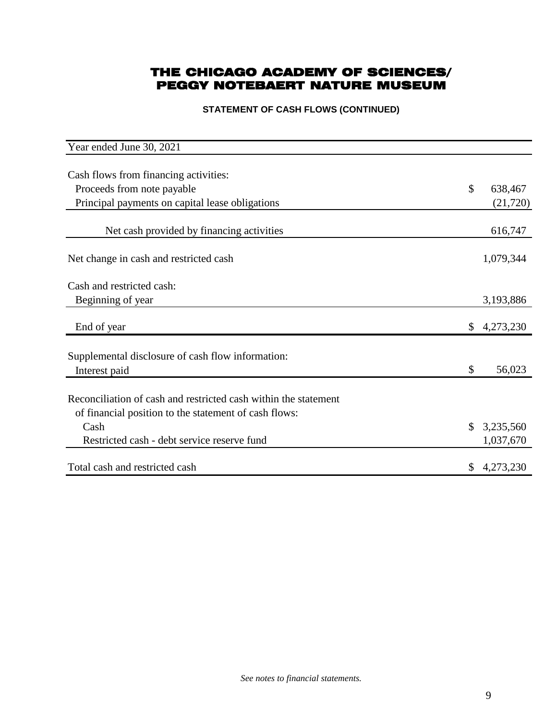**STATEMENT OF CASH FLOWS (CONTINUED)**

| Year ended June 30, 2021                                                                                                 |                |                        |
|--------------------------------------------------------------------------------------------------------------------------|----------------|------------------------|
| Cash flows from financing activities:<br>Proceeds from note payable<br>Principal payments on capital lease obligations   | $\mathcal{S}$  | 638,467<br>(21, 720)   |
| Net cash provided by financing activities                                                                                |                | 616,747                |
| Net change in cash and restricted cash                                                                                   |                | 1,079,344              |
| Cash and restricted cash:<br>Beginning of year                                                                           |                | 3,193,886              |
| End of year                                                                                                              | $\mathbb{S}^-$ | 4,273,230              |
| Supplemental disclosure of cash flow information:<br>Interest paid                                                       | \$             | 56,023                 |
| Reconciliation of cash and restricted cash within the statement<br>of financial position to the statement of cash flows: |                |                        |
| Cash<br>Restricted cash - debt service reserve fund                                                                      | $\mathbb{S}$   | 3,235,560<br>1,037,670 |
| Total cash and restricted cash                                                                                           | \$             | 4,273,230              |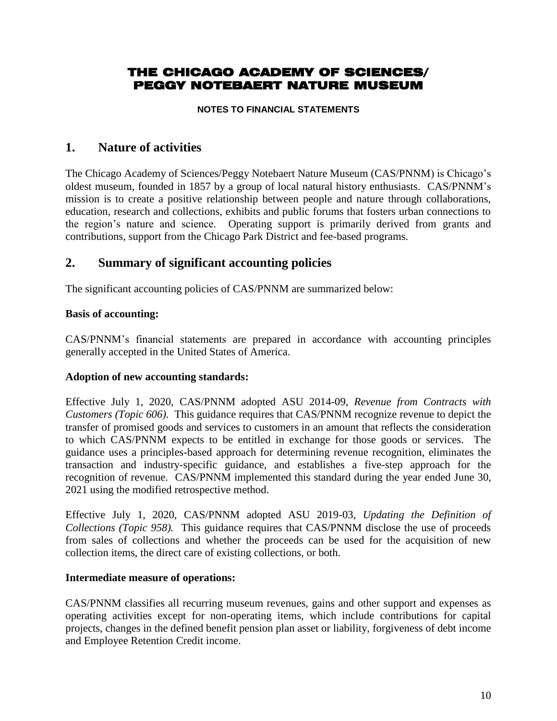#### **NOTES TO FINANCIAL STATEMENTS**

## **1. Nature of activities**

The Chicago Academy of Sciences/Peggy Notebaert Nature Museum (CAS/PNNM) is Chicago's oldest museum, founded in 1857 by a group of local natural history enthusiasts. CAS/PNNM's mission is to create a positive relationship between people and nature through collaborations, education, research and collections, exhibits and public forums that fosters urban connections to the region's nature and science. Operating support is primarily derived from grants and contributions, support from the Chicago Park District and fee-based programs.

## **2. Summary of significant accounting policies**

The significant accounting policies of CAS/PNNM are summarized below:

### **Basis of accounting:**

CAS/PNNM's financial statements are prepared in accordance with accounting principles generally accepted in the United States of America.

### **Adoption of new accounting standards:**

Effective July 1, 2020, CAS/PNNM adopted ASU 2014-09, *Revenue from Contracts with Customers (Topic 606)*. This guidance requires that CAS/PNNM recognize revenue to depict the transfer of promised goods and services to customers in an amount that reflects the consideration to which CAS/PNNM expects to be entitled in exchange for those goods or services. The guidance uses a principles-based approach for determining revenue recognition, eliminates the transaction and industry-specific guidance, and establishes a five-step approach for the recognition of revenue. CAS/PNNM implemented this standard during the year ended June 30, 2021 using the modified retrospective method.

Effective July 1, 2020, CAS/PNNM adopted ASU 2019-03, *Updating the Definition of Collections (Topic 958).* This guidance requires that CAS/PNNM disclose the use of proceeds from sales of collections and whether the proceeds can be used for the acquisition of new collection items, the direct care of existing collections, or both.

### **Intermediate measure of operations:**

CAS/PNNM classifies all recurring museum revenues, gains and other support and expenses as operating activities except for non-operating items, which include contributions for capital projects, changes in the defined benefit pension plan asset or liability, forgiveness of debt income and Employee Retention Credit income.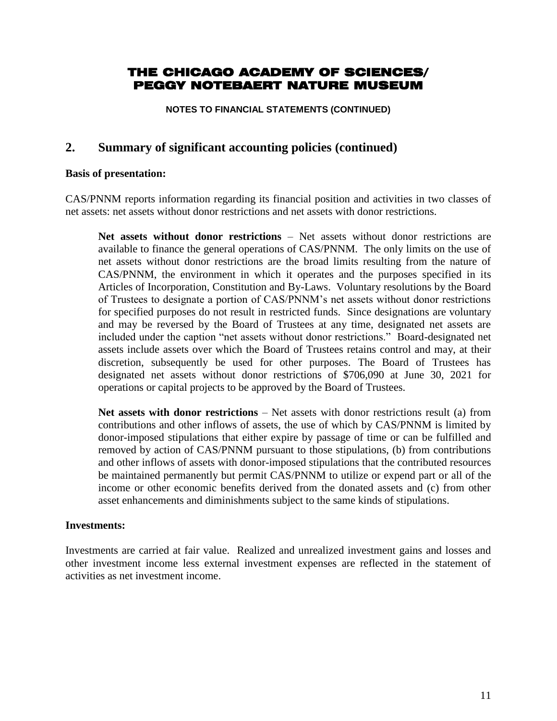**NOTES TO FINANCIAL STATEMENTS (CONTINUED)**

## **2. Summary of significant accounting policies (continued)**

#### **Basis of presentation:**

CAS/PNNM reports information regarding its financial position and activities in two classes of net assets: net assets without donor restrictions and net assets with donor restrictions.

**Net assets without donor restrictions** – Net assets without donor restrictions are available to finance the general operations of CAS/PNNM. The only limits on the use of net assets without donor restrictions are the broad limits resulting from the nature of CAS/PNNM, the environment in which it operates and the purposes specified in its Articles of Incorporation, Constitution and By-Laws. Voluntary resolutions by the Board of Trustees to designate a portion of CAS/PNNM's net assets without donor restrictions for specified purposes do not result in restricted funds. Since designations are voluntary and may be reversed by the Board of Trustees at any time, designated net assets are included under the caption "net assets without donor restrictions." Board-designated net assets include assets over which the Board of Trustees retains control and may, at their discretion, subsequently be used for other purposes. The Board of Trustees has designated net assets without donor restrictions of \$706,090 at June 30, 2021 for operations or capital projects to be approved by the Board of Trustees.

**Net assets with donor restrictions** – Net assets with donor restrictions result (a) from contributions and other inflows of assets, the use of which by CAS/PNNM is limited by donor-imposed stipulations that either expire by passage of time or can be fulfilled and removed by action of CAS/PNNM pursuant to those stipulations, (b) from contributions and other inflows of assets with donor-imposed stipulations that the contributed resources be maintained permanently but permit CAS/PNNM to utilize or expend part or all of the income or other economic benefits derived from the donated assets and (c) from other asset enhancements and diminishments subject to the same kinds of stipulations.

### **Investments:**

Investments are carried at fair value. Realized and unrealized investment gains and losses and other investment income less external investment expenses are reflected in the statement of activities as net investment income.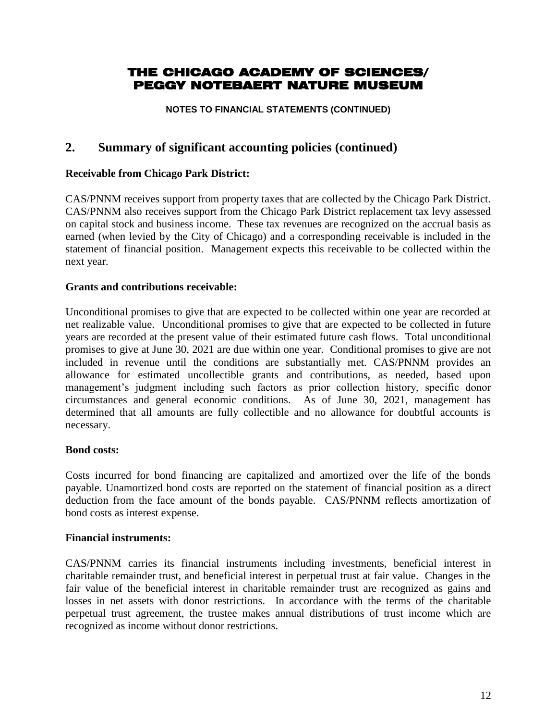**NOTES TO FINANCIAL STATEMENTS (CONTINUED)**

## **2. Summary of significant accounting policies (continued)**

### **Receivable from Chicago Park District:**

CAS/PNNM receives support from property taxes that are collected by the Chicago Park District. CAS/PNNM also receives support from the Chicago Park District replacement tax levy assessed on capital stock and business income. These tax revenues are recognized on the accrual basis as earned (when levied by the City of Chicago) and a corresponding receivable is included in the statement of financial position. Management expects this receivable to be collected within the next year.

### **Grants and contributions receivable:**

Unconditional promises to give that are expected to be collected within one year are recorded at net realizable value. Unconditional promises to give that are expected to be collected in future years are recorded at the present value of their estimated future cash flows. Total unconditional promises to give at June 30, 2021 are due within one year. Conditional promises to give are not included in revenue until the conditions are substantially met. CAS/PNNM provides an allowance for estimated uncollectible grants and contributions, as needed, based upon management's judgment including such factors as prior collection history, specific donor circumstances and general economic conditions. As of June 30, 2021, management has determined that all amounts are fully collectible and no allowance for doubtful accounts is necessary.

### **Bond costs:**

Costs incurred for bond financing are capitalized and amortized over the life of the bonds payable. Unamortized bond costs are reported on the statement of financial position as a direct deduction from the face amount of the bonds payable. CAS/PNNM reflects amortization of bond costs as interest expense.

### **Financial instruments:**

CAS/PNNM carries its financial instruments including investments, beneficial interest in charitable remainder trust, and beneficial interest in perpetual trust at fair value. Changes in the fair value of the beneficial interest in charitable remainder trust are recognized as gains and losses in net assets with donor restrictions. In accordance with the terms of the charitable perpetual trust agreement, the trustee makes annual distributions of trust income which are recognized as income without donor restrictions.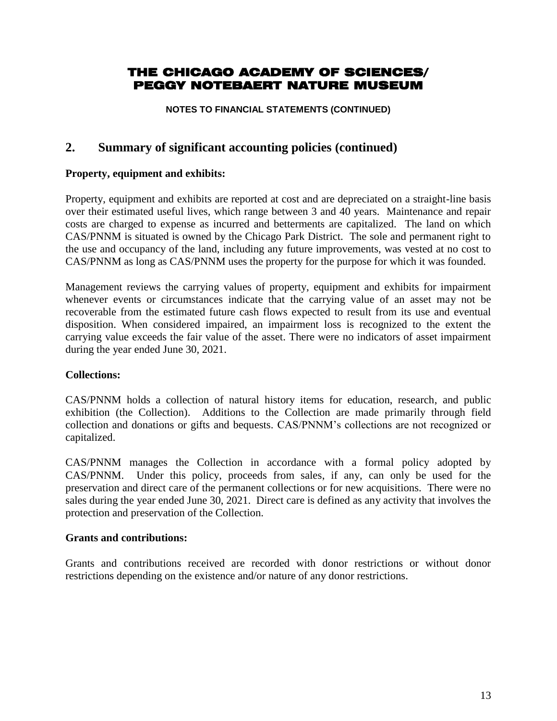**NOTES TO FINANCIAL STATEMENTS (CONTINUED)**

# **2. Summary of significant accounting policies (continued)**

### **Property, equipment and exhibits:**

Property, equipment and exhibits are reported at cost and are depreciated on a straight-line basis over their estimated useful lives, which range between 3 and 40 years. Maintenance and repair costs are charged to expense as incurred and betterments are capitalized. The land on which CAS/PNNM is situated is owned by the Chicago Park District. The sole and permanent right to the use and occupancy of the land, including any future improvements, was vested at no cost to CAS/PNNM as long as CAS/PNNM uses the property for the purpose for which it was founded.

Management reviews the carrying values of property, equipment and exhibits for impairment whenever events or circumstances indicate that the carrying value of an asset may not be recoverable from the estimated future cash flows expected to result from its use and eventual disposition. When considered impaired, an impairment loss is recognized to the extent the carrying value exceeds the fair value of the asset. There were no indicators of asset impairment during the year ended June 30, 2021.

### **Collections:**

CAS/PNNM holds a collection of natural history items for education, research, and public exhibition (the Collection). Additions to the Collection are made primarily through field collection and donations or gifts and bequests. CAS/PNNM's collections are not recognized or capitalized.

CAS/PNNM manages the Collection in accordance with a formal policy adopted by CAS/PNNM. Under this policy, proceeds from sales, if any, can only be used for the preservation and direct care of the permanent collections or for new acquisitions. There were no sales during the year ended June 30, 2021. Direct care is defined as any activity that involves the protection and preservation of the Collection.

### **Grants and contributions:**

Grants and contributions received are recorded with donor restrictions or without donor restrictions depending on the existence and/or nature of any donor restrictions.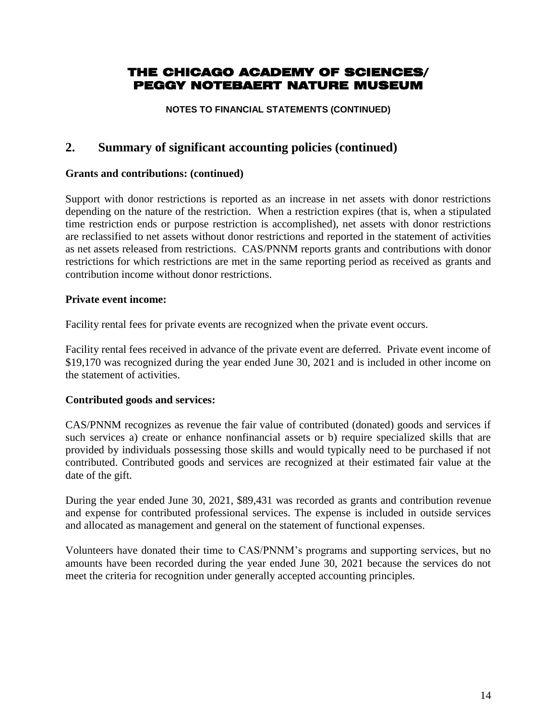**NOTES TO FINANCIAL STATEMENTS (CONTINUED)**

# **2. Summary of significant accounting policies (continued)**

### **Grants and contributions: (continued)**

Support with donor restrictions is reported as an increase in net assets with donor restrictions depending on the nature of the restriction. When a restriction expires (that is, when a stipulated time restriction ends or purpose restriction is accomplished), net assets with donor restrictions are reclassified to net assets without donor restrictions and reported in the statement of activities as net assets released from restrictions. CAS/PNNM reports grants and contributions with donor restrictions for which restrictions are met in the same reporting period as received as grants and contribution income without donor restrictions.

### **Private event income:**

Facility rental fees for private events are recognized when the private event occurs.

Facility rental fees received in advance of the private event are deferred. Private event income of \$19,170 was recognized during the year ended June 30, 2021 and is included in other income on the statement of activities.

### **Contributed goods and services:**

CAS/PNNM recognizes as revenue the fair value of contributed (donated) goods and services if such services a) create or enhance nonfinancial assets or b) require specialized skills that are provided by individuals possessing those skills and would typically need to be purchased if not contributed. Contributed goods and services are recognized at their estimated fair value at the date of the gift.

During the year ended June 30, 2021, \$89,431 was recorded as grants and contribution revenue and expense for contributed professional services. The expense is included in outside services and allocated as management and general on the statement of functional expenses.

Volunteers have donated their time to CAS/PNNM's programs and supporting services, but no amounts have been recorded during the year ended June 30, 2021 because the services do not meet the criteria for recognition under generally accepted accounting principles.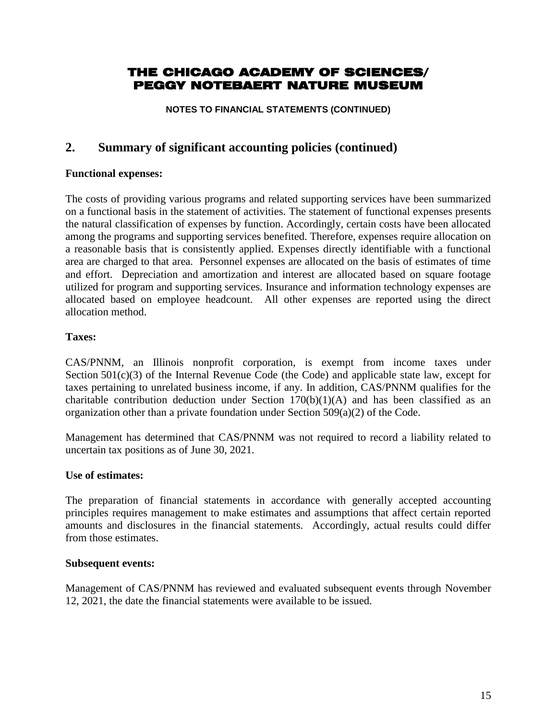**NOTES TO FINANCIAL STATEMENTS (CONTINUED)**

## **2. Summary of significant accounting policies (continued)**

### **Functional expenses:**

The costs of providing various programs and related supporting services have been summarized on a functional basis in the statement of activities. The statement of functional expenses presents the natural classification of expenses by function. Accordingly, certain costs have been allocated among the programs and supporting services benefited. Therefore, expenses require allocation on a reasonable basis that is consistently applied. Expenses directly identifiable with a functional area are charged to that area. Personnel expenses are allocated on the basis of estimates of time and effort. Depreciation and amortization and interest are allocated based on square footage utilized for program and supporting services. Insurance and information technology expenses are allocated based on employee headcount. All other expenses are reported using the direct allocation method.

### **Taxes:**

CAS/PNNM, an Illinois nonprofit corporation, is exempt from income taxes under Section 501(c)(3) of the Internal Revenue Code (the Code) and applicable state law, except for taxes pertaining to unrelated business income, if any. In addition, CAS/PNNM qualifies for the charitable contribution deduction under Section  $170(b)(1)(A)$  and has been classified as an organization other than a private foundation under Section 509(a)(2) of the Code.

Management has determined that CAS/PNNM was not required to record a liability related to uncertain tax positions as of June 30, 2021.

### **Use of estimates:**

The preparation of financial statements in accordance with generally accepted accounting principles requires management to make estimates and assumptions that affect certain reported amounts and disclosures in the financial statements. Accordingly, actual results could differ from those estimates.

#### **Subsequent events:**

Management of CAS/PNNM has reviewed and evaluated subsequent events through November 12, 2021, the date the financial statements were available to be issued.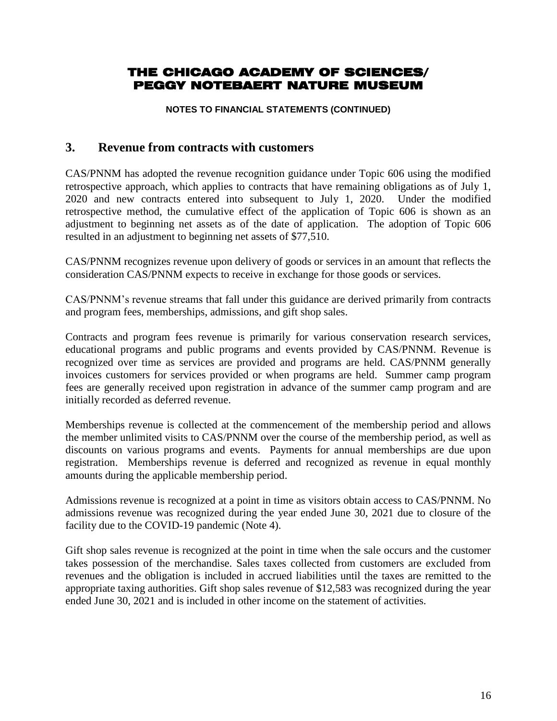**NOTES TO FINANCIAL STATEMENTS (CONTINUED)**

### **3. Revenue from contracts with customers**

CAS/PNNM has adopted the revenue recognition guidance under Topic 606 using the modified retrospective approach, which applies to contracts that have remaining obligations as of July 1, 2020 and new contracts entered into subsequent to July 1, 2020. Under the modified retrospective method, the cumulative effect of the application of Topic 606 is shown as an adjustment to beginning net assets as of the date of application. The adoption of Topic 606 resulted in an adjustment to beginning net assets of \$77,510.

CAS/PNNM recognizes revenue upon delivery of goods or services in an amount that reflects the consideration CAS/PNNM expects to receive in exchange for those goods or services.

CAS/PNNM's revenue streams that fall under this guidance are derived primarily from contracts and program fees, memberships, admissions, and gift shop sales.

Contracts and program fees revenue is primarily for various conservation research services, educational programs and public programs and events provided by CAS/PNNM. Revenue is recognized over time as services are provided and programs are held. CAS/PNNM generally invoices customers for services provided or when programs are held. Summer camp program fees are generally received upon registration in advance of the summer camp program and are initially recorded as deferred revenue.

Memberships revenue is collected at the commencement of the membership period and allows the member unlimited visits to CAS/PNNM over the course of the membership period, as well as discounts on various programs and events. Payments for annual memberships are due upon registration. Memberships revenue is deferred and recognized as revenue in equal monthly amounts during the applicable membership period.

Admissions revenue is recognized at a point in time as visitors obtain access to CAS/PNNM. No admissions revenue was recognized during the year ended June 30, 2021 due to closure of the facility due to the COVID-19 pandemic (Note 4).

Gift shop sales revenue is recognized at the point in time when the sale occurs and the customer takes possession of the merchandise. Sales taxes collected from customers are excluded from revenues and the obligation is included in accrued liabilities until the taxes are remitted to the appropriate taxing authorities. Gift shop sales revenue of \$12,583 was recognized during the year ended June 30, 2021 and is included in other income on the statement of activities.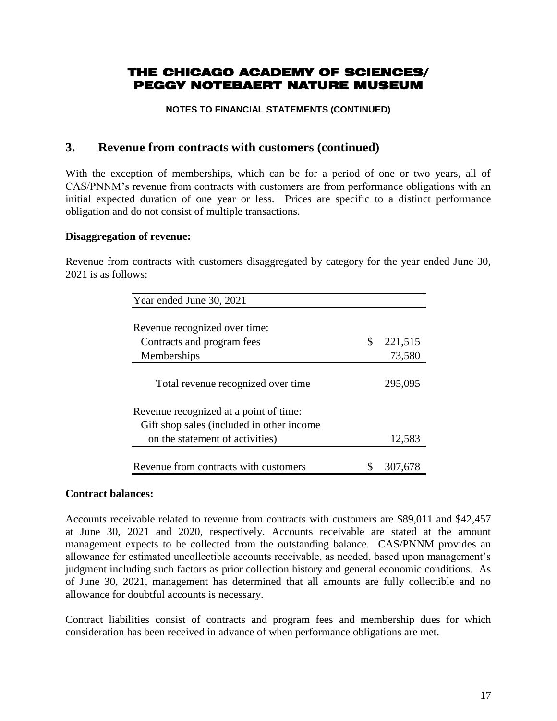#### **NOTES TO FINANCIAL STATEMENTS (CONTINUED)**

### **3. Revenue from contracts with customers (continued)**

With the exception of memberships, which can be for a period of one or two years, all of CAS/PNNM's revenue from contracts with customers are from performance obligations with an initial expected duration of one year or less. Prices are specific to a distinct performance obligation and do not consist of multiple transactions.

### **Disaggregation of revenue:**

Revenue from contracts with customers disaggregated by category for the year ended June 30, 2021 is as follows:

| \$<br>221,515 |
|---------------|
| 73,580        |
|               |
| 295,095       |
|               |
|               |
|               |
| 12,583        |
|               |
| 307,678       |
|               |

### **Contract balances:**

Accounts receivable related to revenue from contracts with customers are \$89,011 and \$42,457 at June 30, 2021 and 2020, respectively. Accounts receivable are stated at the amount management expects to be collected from the outstanding balance. CAS/PNNM provides an allowance for estimated uncollectible accounts receivable, as needed, based upon management's judgment including such factors as prior collection history and general economic conditions. As of June 30, 2021, management has determined that all amounts are fully collectible and no allowance for doubtful accounts is necessary.

Contract liabilities consist of contracts and program fees and membership dues for which consideration has been received in advance of when performance obligations are met.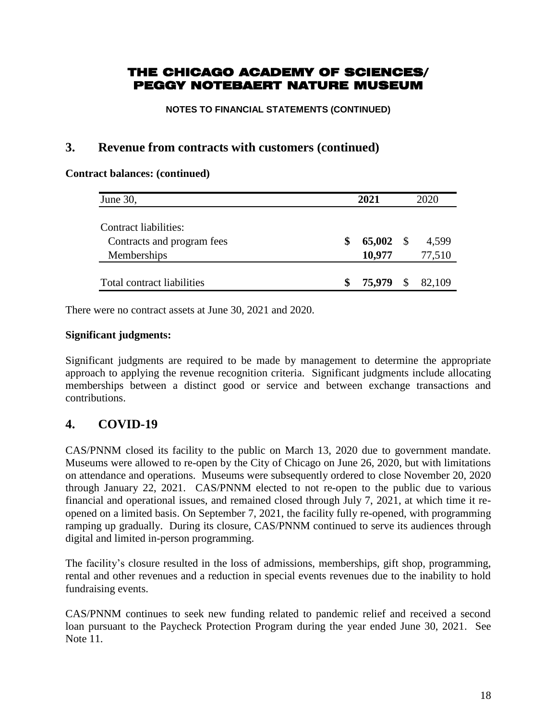**NOTES TO FINANCIAL STATEMENTS (CONTINUED)**

## **3. Revenue from contracts with customers (continued)**

### **Contract balances: (continued)**

| June 30,                                                           | 2021                   |    | 2020            |
|--------------------------------------------------------------------|------------------------|----|-----------------|
| Contract liabilities:<br>Contracts and program fees<br>Memberships | \$<br>65,002<br>10,977 | -S | 4,599<br>77,510 |
| Total contract liabilities                                         | 75,979 \$              |    | 82,109          |

There were no contract assets at June 30, 2021 and 2020.

### **Significant judgments:**

Significant judgments are required to be made by management to determine the appropriate approach to applying the revenue recognition criteria. Significant judgments include allocating memberships between a distinct good or service and between exchange transactions and contributions.

# **4. COVID-19**

CAS/PNNM closed its facility to the public on March 13, 2020 due to government mandate. Museums were allowed to re-open by the City of Chicago on June 26, 2020, but with limitations on attendance and operations. Museums were subsequently ordered to close November 20, 2020 through January 22, 2021. CAS/PNNM elected to not re-open to the public due to various financial and operational issues, and remained closed through July 7, 2021, at which time it reopened on a limited basis. On September 7, 2021, the facility fully re-opened, with programming ramping up gradually. During its closure, CAS/PNNM continued to serve its audiences through digital and limited in-person programming.

The facility's closure resulted in the loss of admissions, memberships, gift shop, programming, rental and other revenues and a reduction in special events revenues due to the inability to hold fundraising events.

CAS/PNNM continues to seek new funding related to pandemic relief and received a second loan pursuant to the Paycheck Protection Program during the year ended June 30, 2021. See Note 11.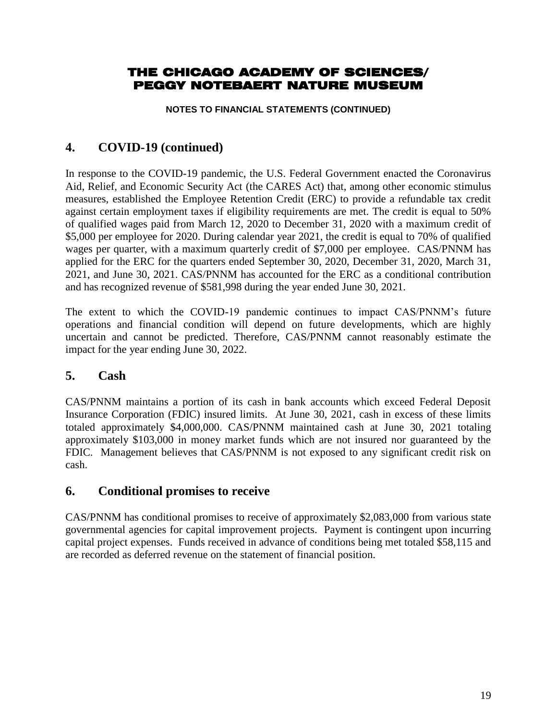**NOTES TO FINANCIAL STATEMENTS (CONTINUED)**

# **4. COVID-19 (continued)**

In response to the COVID-19 pandemic, the U.S. Federal Government enacted the Coronavirus Aid, Relief, and Economic Security Act (the CARES Act) that, among other economic stimulus measures, established the Employee Retention Credit (ERC) to provide a refundable tax credit against certain employment taxes if eligibility requirements are met. The credit is equal to 50% of qualified wages paid from March 12, 2020 to December 31, 2020 with a maximum credit of \$5,000 per employee for 2020. During calendar year 2021, the credit is equal to 70% of qualified wages per quarter, with a maximum quarterly credit of \$7,000 per employee. CAS/PNNM has applied for the ERC for the quarters ended September 30, 2020, December 31, 2020, March 31, 2021, and June 30, 2021. CAS/PNNM has accounted for the ERC as a conditional contribution and has recognized revenue of \$581,998 during the year ended June 30, 2021.

The extent to which the COVID-19 pandemic continues to impact CAS/PNNM's future operations and financial condition will depend on future developments, which are highly uncertain and cannot be predicted. Therefore, CAS/PNNM cannot reasonably estimate the impact for the year ending June 30, 2022.

# **5. Cash**

CAS/PNNM maintains a portion of its cash in bank accounts which exceed Federal Deposit Insurance Corporation (FDIC) insured limits. At June 30, 2021, cash in excess of these limits totaled approximately \$4,000,000. CAS/PNNM maintained cash at June 30, 2021 totaling approximately \$103,000 in money market funds which are not insured nor guaranteed by the FDIC. Management believes that CAS/PNNM is not exposed to any significant credit risk on cash.

## **6. Conditional promises to receive**

CAS/PNNM has conditional promises to receive of approximately \$2,083,000 from various state governmental agencies for capital improvement projects. Payment is contingent upon incurring capital project expenses. Funds received in advance of conditions being met totaled \$58,115 and are recorded as deferred revenue on the statement of financial position.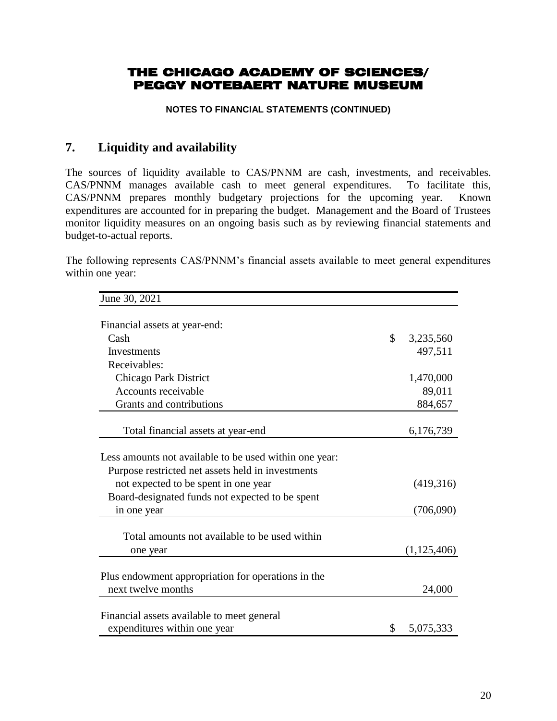**NOTES TO FINANCIAL STATEMENTS (CONTINUED)**

# **7. Liquidity and availability**

The sources of liquidity available to CAS/PNNM are cash, investments, and receivables. CAS/PNNM manages available cash to meet general expenditures. To facilitate this, CAS/PNNM prepares monthly budgetary projections for the upcoming year. Known expenditures are accounted for in preparing the budget. Management and the Board of Trustees monitor liquidity measures on an ongoing basis such as by reviewing financial statements and budget-to-actual reports.

The following represents CAS/PNNM's financial assets available to meet general expenditures within one year:

| June 30, 2021                                          |                 |
|--------------------------------------------------------|-----------------|
|                                                        |                 |
| Financial assets at year-end:                          |                 |
| Cash                                                   | \$<br>3,235,560 |
| Investments                                            | 497,511         |
| Receivables:                                           |                 |
| Chicago Park District                                  | 1,470,000       |
| Accounts receivable                                    | 89,011          |
| Grants and contributions                               | 884,657         |
|                                                        |                 |
| Total financial assets at year-end                     | 6,176,739       |
|                                                        |                 |
| Less amounts not available to be used within one year: |                 |
| Purpose restricted net assets held in investments      |                 |
| not expected to be spent in one year                   | (419,316)       |
| Board-designated funds not expected to be spent        |                 |
| in one year                                            | (706,090)       |
|                                                        |                 |
| Total amounts not available to be used within          |                 |
| one year                                               | (1,125,406)     |
|                                                        |                 |
| Plus endowment appropriation for operations in the     |                 |
| next twelve months                                     | 24,000          |
|                                                        |                 |
| Financial assets available to meet general             |                 |
| expenditures within one year                           | \$<br>5,075,333 |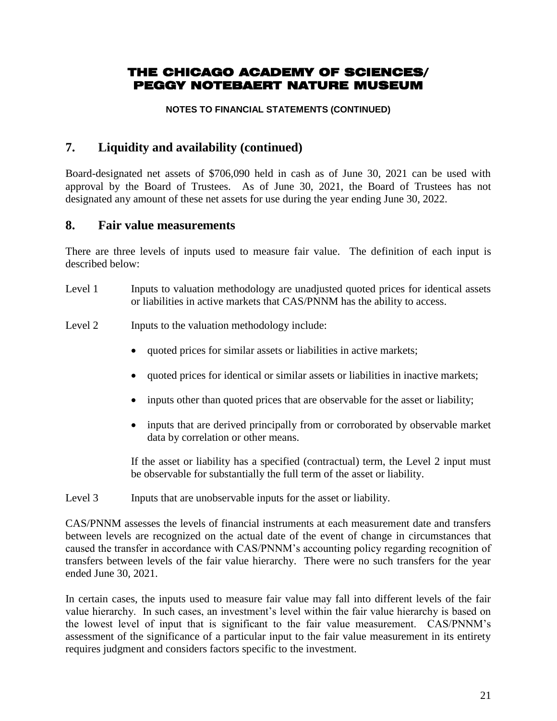### **NOTES TO FINANCIAL STATEMENTS (CONTINUED)**

# **7. Liquidity and availability (continued)**

Board-designated net assets of \$706,090 held in cash as of June 30, 2021 can be used with approval by the Board of Trustees. As of June 30, 2021, the Board of Trustees has not designated any amount of these net assets for use during the year ending June 30, 2022.

### **8. Fair value measurements**

There are three levels of inputs used to measure fair value. The definition of each input is described below:

- Level 1 Inputs to valuation methodology are unadjusted quoted prices for identical assets or liabilities in active markets that CAS/PNNM has the ability to access.
- Level 2 Inputs to the valuation methodology include:
	- quoted prices for similar assets or liabilities in active markets;
	- quoted prices for identical or similar assets or liabilities in inactive markets;
	- inputs other than quoted prices that are observable for the asset or liability;
	- inputs that are derived principally from or corroborated by observable market data by correlation or other means.

If the asset or liability has a specified (contractual) term, the Level 2 input must be observable for substantially the full term of the asset or liability.

Level 3 Inputs that are unobservable inputs for the asset or liability.

CAS/PNNM assesses the levels of financial instruments at each measurement date and transfers between levels are recognized on the actual date of the event of change in circumstances that caused the transfer in accordance with CAS/PNNM's accounting policy regarding recognition of transfers between levels of the fair value hierarchy. There were no such transfers for the year ended June 30, 2021.

In certain cases, the inputs used to measure fair value may fall into different levels of the fair value hierarchy. In such cases, an investment's level within the fair value hierarchy is based on the lowest level of input that is significant to the fair value measurement. CAS/PNNM's assessment of the significance of a particular input to the fair value measurement in its entirety requires judgment and considers factors specific to the investment.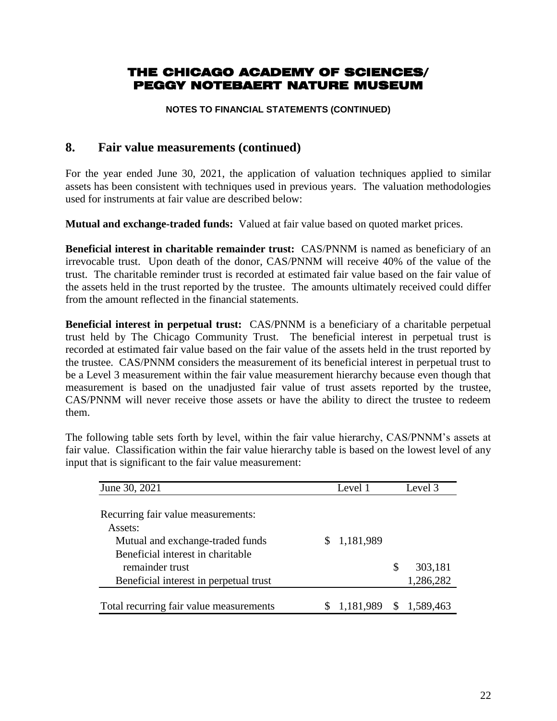**NOTES TO FINANCIAL STATEMENTS (CONTINUED)**

## **8. Fair value measurements (continued)**

For the year ended June 30, 2021, the application of valuation techniques applied to similar assets has been consistent with techniques used in previous years. The valuation methodologies used for instruments at fair value are described below:

**Mutual and exchange-traded funds:** Valued at fair value based on quoted market prices.

**Beneficial interest in charitable remainder trust:** CAS/PNNM is named as beneficiary of an irrevocable trust. Upon death of the donor, CAS/PNNM will receive 40% of the value of the trust. The charitable reminder trust is recorded at estimated fair value based on the fair value of the assets held in the trust reported by the trustee. The amounts ultimately received could differ from the amount reflected in the financial statements.

**Beneficial interest in perpetual trust:** CAS/PNNM is a beneficiary of a charitable perpetual trust held by The Chicago Community Trust. The beneficial interest in perpetual trust is recorded at estimated fair value based on the fair value of the assets held in the trust reported by the trustee. CAS/PNNM considers the measurement of its beneficial interest in perpetual trust to be a Level 3 measurement within the fair value measurement hierarchy because even though that measurement is based on the unadjusted fair value of trust assets reported by the trustee, CAS/PNNM will never receive those assets or have the ability to direct the trustee to redeem them.

The following table sets forth by level, within the fair value hierarchy, CAS/PNNM's assets at fair value. Classification within the fair value hierarchy table is based on the lowest level of any input that is significant to the fair value measurement:

| June 30, 2021                           | Level 1 |           |    | Level 3     |
|-----------------------------------------|---------|-----------|----|-------------|
|                                         |         |           |    |             |
| Recurring fair value measurements:      |         |           |    |             |
| Assets:                                 |         |           |    |             |
| Mutual and exchange-traded funds        |         | 1,181,989 |    |             |
| Beneficial interest in charitable       |         |           |    |             |
| remainder trust                         |         |           | \$ | 303,181     |
| Beneficial interest in perpetual trust  |         |           |    | 1,286,282   |
|                                         |         |           |    |             |
| Total recurring fair value measurements |         | 1,181,989 |    | \$1,589,463 |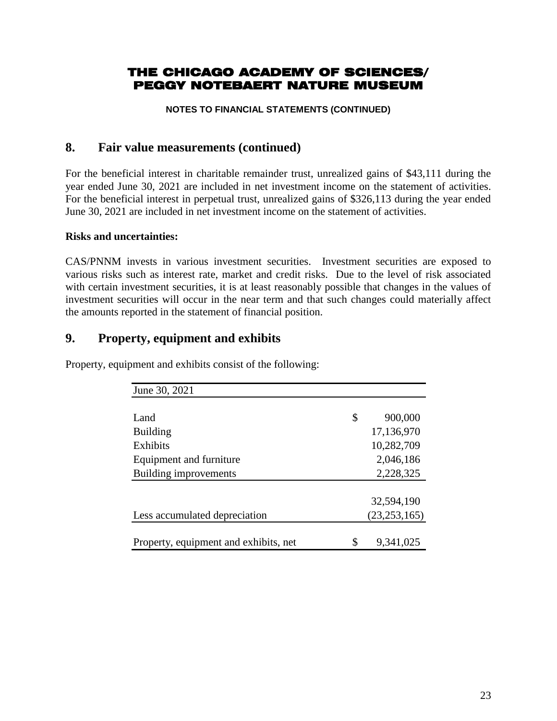**NOTES TO FINANCIAL STATEMENTS (CONTINUED)**

## **8. Fair value measurements (continued)**

For the beneficial interest in charitable remainder trust, unrealized gains of \$43,111 during the year ended June 30, 2021 are included in net investment income on the statement of activities. For the beneficial interest in perpetual trust, unrealized gains of \$326,113 during the year ended June 30, 2021 are included in net investment income on the statement of activities.

### **Risks and uncertainties:**

CAS/PNNM invests in various investment securities. Investment securities are exposed to various risks such as interest rate, market and credit risks. Due to the level of risk associated with certain investment securities, it is at least reasonably possible that changes in the values of investment securities will occur in the near term and that such changes could materially affect the amounts reported in the statement of financial position.

# **9. Property, equipment and exhibits**

| June 30, 2021                         |                 |
|---------------------------------------|-----------------|
| Land                                  | \$<br>900,000   |
| <b>Building</b>                       | 17,136,970      |
| Exhibits                              | 10,282,709      |
| Equipment and furniture               | 2,046,186       |
| Building improvements                 | 2,228,325       |
|                                       |                 |
|                                       | 32,594,190      |
| Less accumulated depreciation         | (23, 253, 165)  |
|                                       |                 |
| Property, equipment and exhibits, net | \$<br>9,341,025 |

Property, equipment and exhibits consist of the following: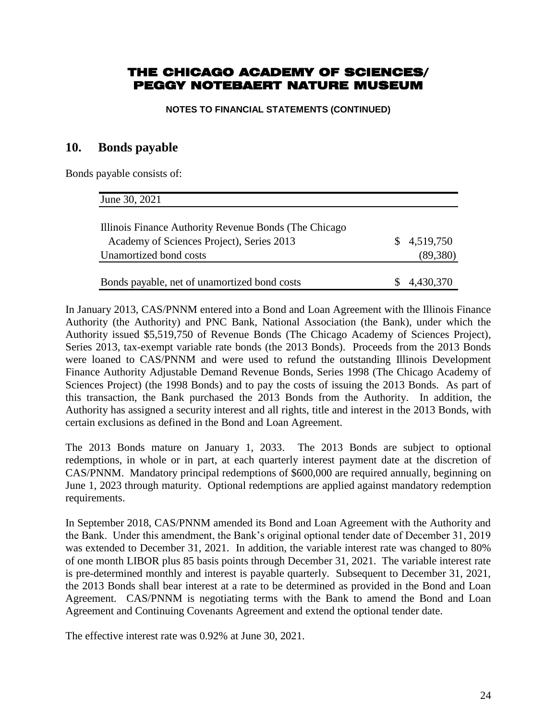**NOTES TO FINANCIAL STATEMENTS (CONTINUED)**

### **10. Bonds payable**

Bonds payable consists of:

| June 30, 2021                                                                                      |             |
|----------------------------------------------------------------------------------------------------|-------------|
| Illinois Finance Authority Revenue Bonds (The Chicago<br>Academy of Sciences Project), Series 2013 | \$4,519,750 |
| Unamortized bond costs                                                                             | (89, 380)   |
| Bonds payable, net of unamortized bond costs                                                       | 4,430,370   |

In January 2013, CAS/PNNM entered into a Bond and Loan Agreement with the Illinois Finance Authority (the Authority) and PNC Bank, National Association (the Bank), under which the Authority issued \$5,519,750 of Revenue Bonds (The Chicago Academy of Sciences Project), Series 2013, tax-exempt variable rate bonds (the 2013 Bonds). Proceeds from the 2013 Bonds were loaned to CAS/PNNM and were used to refund the outstanding Illinois Development Finance Authority Adjustable Demand Revenue Bonds, Series 1998 (The Chicago Academy of Sciences Project) (the 1998 Bonds) and to pay the costs of issuing the 2013 Bonds. As part of this transaction, the Bank purchased the 2013 Bonds from the Authority. In addition, the Authority has assigned a security interest and all rights, title and interest in the 2013 Bonds, with certain exclusions as defined in the Bond and Loan Agreement.

The 2013 Bonds mature on January 1, 2033. The 2013 Bonds are subject to optional redemptions, in whole or in part, at each quarterly interest payment date at the discretion of CAS/PNNM. Mandatory principal redemptions of \$600,000 are required annually, beginning on June 1, 2023 through maturity. Optional redemptions are applied against mandatory redemption requirements.

In September 2018, CAS/PNNM amended its Bond and Loan Agreement with the Authority and the Bank. Under this amendment, the Bank's original optional tender date of December 31, 2019 was extended to December 31, 2021. In addition, the variable interest rate was changed to 80% of one month LIBOR plus 85 basis points through December 31, 2021. The variable interest rate is pre-determined monthly and interest is payable quarterly. Subsequent to December 31, 2021, the 2013 Bonds shall bear interest at a rate to be determined as provided in the Bond and Loan Agreement. CAS/PNNM is negotiating terms with the Bank to amend the Bond and Loan Agreement and Continuing Covenants Agreement and extend the optional tender date.

The effective interest rate was 0.92% at June 30, 2021.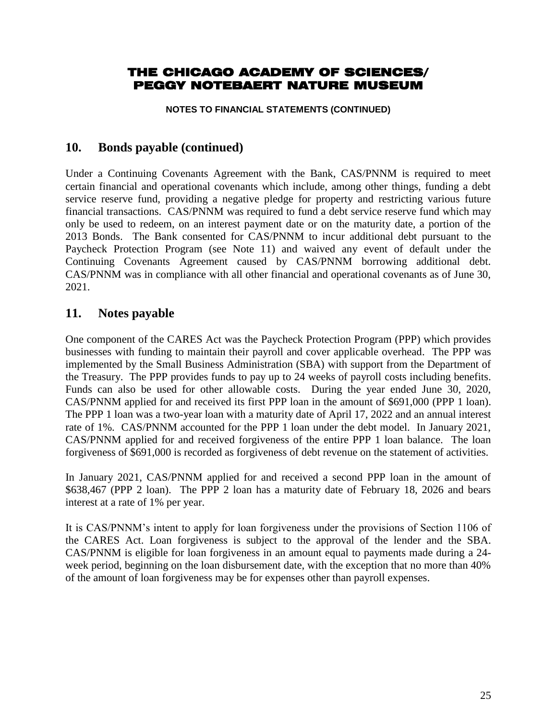**NOTES TO FINANCIAL STATEMENTS (CONTINUED)**

### **10. Bonds payable (continued)**

Under a Continuing Covenants Agreement with the Bank, CAS/PNNM is required to meet certain financial and operational covenants which include, among other things, funding a debt service reserve fund, providing a negative pledge for property and restricting various future financial transactions. CAS/PNNM was required to fund a debt service reserve fund which may only be used to redeem, on an interest payment date or on the maturity date, a portion of the 2013 Bonds. The Bank consented for CAS/PNNM to incur additional debt pursuant to the Paycheck Protection Program (see Note 11) and waived any event of default under the Continuing Covenants Agreement caused by CAS/PNNM borrowing additional debt. CAS/PNNM was in compliance with all other financial and operational covenants as of June 30, 2021.

## **11. Notes payable**

One component of the CARES Act was the Paycheck Protection Program (PPP) which provides businesses with funding to maintain their payroll and cover applicable overhead. The PPP was implemented by the Small Business Administration (SBA) with support from the Department of the Treasury. The PPP provides funds to pay up to 24 weeks of payroll costs including benefits. Funds can also be used for other allowable costs. During the year ended June 30, 2020, CAS/PNNM applied for and received its first PPP loan in the amount of \$691,000 (PPP 1 loan). The PPP 1 loan was a two-year loan with a maturity date of April 17, 2022 and an annual interest rate of 1%. CAS/PNNM accounted for the PPP 1 loan under the debt model. In January 2021, CAS/PNNM applied for and received forgiveness of the entire PPP 1 loan balance. The loan forgiveness of \$691,000 is recorded as forgiveness of debt revenue on the statement of activities.

In January 2021, CAS/PNNM applied for and received a second PPP loan in the amount of \$638,467 (PPP 2 loan). The PPP 2 loan has a maturity date of February 18, 2026 and bears interest at a rate of 1% per year.

It is CAS/PNNM's intent to apply for loan forgiveness under the provisions of Section 1106 of the CARES Act. Loan forgiveness is subject to the approval of the lender and the SBA. CAS/PNNM is eligible for loan forgiveness in an amount equal to payments made during a 24 week period, beginning on the loan disbursement date, with the exception that no more than 40% of the amount of loan forgiveness may be for expenses other than payroll expenses.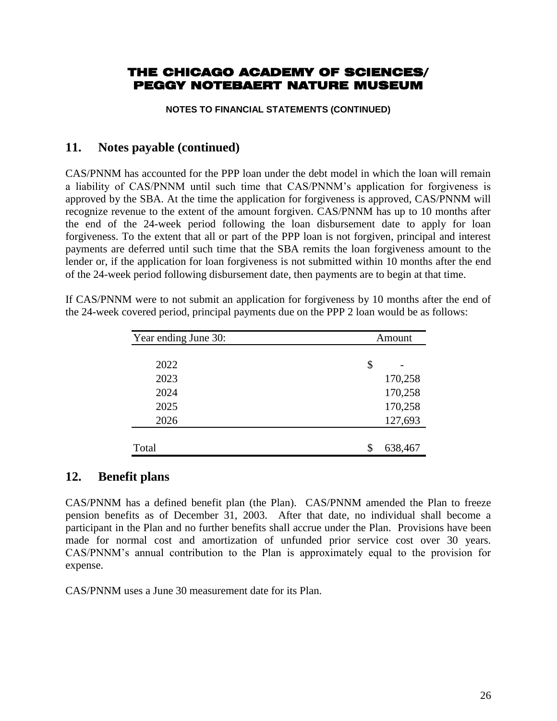**NOTES TO FINANCIAL STATEMENTS (CONTINUED)**

### **11. Notes payable (continued)**

CAS/PNNM has accounted for the PPP loan under the debt model in which the loan will remain a liability of CAS/PNNM until such time that CAS/PNNM's application for forgiveness is approved by the SBA. At the time the application for forgiveness is approved, CAS/PNNM will recognize revenue to the extent of the amount forgiven. CAS/PNNM has up to 10 months after the end of the 24-week period following the loan disbursement date to apply for loan forgiveness. To the extent that all or part of the PPP loan is not forgiven, principal and interest payments are deferred until such time that the SBA remits the loan forgiveness amount to the lender or, if the application for loan forgiveness is not submitted within 10 months after the end of the 24-week period following disbursement date, then payments are to begin at that time.

| Year ending June 30: | Amount        |
|----------------------|---------------|
|                      |               |
| 2022                 | \$            |
| 2023                 | 170,258       |
| 2024                 | 170,258       |
| 2025                 | 170,258       |
| 2026                 | 127,693       |
|                      |               |
| Total                | 638,467<br>\$ |

If CAS/PNNM were to not submit an application for forgiveness by 10 months after the end of the 24-week covered period, principal payments due on the PPP 2 loan would be as follows:

## **12. Benefit plans**

CAS/PNNM has a defined benefit plan (the Plan). CAS/PNNM amended the Plan to freeze pension benefits as of December 31, 2003. After that date, no individual shall become a participant in the Plan and no further benefits shall accrue under the Plan. Provisions have been made for normal cost and amortization of unfunded prior service cost over 30 years. CAS/PNNM's annual contribution to the Plan is approximately equal to the provision for expense.

CAS/PNNM uses a June 30 measurement date for its Plan.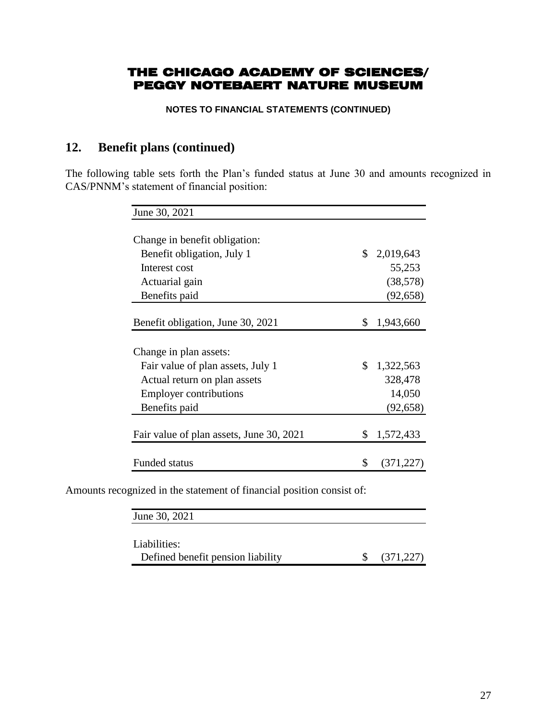**NOTES TO FINANCIAL STATEMENTS (CONTINUED)**

# **12. Benefit plans (continued)**

The following table sets forth the Plan's funded status at June 30 and amounts recognized in CAS/PNNM's statement of financial position:

| $\mathbb{S}$<br>\$ | 2,019,643<br>55,253<br>(38, 578)<br>(92, 658) |
|--------------------|-----------------------------------------------|
|                    |                                               |
|                    |                                               |
|                    |                                               |
|                    |                                               |
|                    |                                               |
|                    |                                               |
|                    | 1,943,660                                     |
|                    |                                               |
|                    |                                               |
| \$                 | 1,322,563                                     |
|                    | 328,478                                       |
|                    | 14,050                                        |
|                    | (92, 658)                                     |
| \$                 | 1,572,433                                     |
|                    | (371,22                                       |
|                    | \$                                            |

Amounts recognized in the statement of financial position consist of:

| June 30, 2021                     |            |
|-----------------------------------|------------|
| Liabilities:                      |            |
| Defined benefit pension liability | (371, 227) |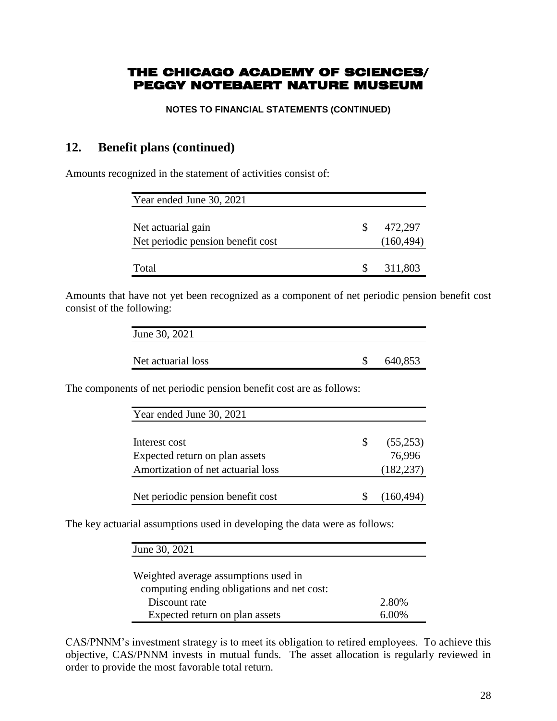**NOTES TO FINANCIAL STATEMENTS (CONTINUED)**

# **12. Benefit plans (continued)**

Amounts recognized in the statement of activities consist of:

| Year ended June 30, 2021          |            |
|-----------------------------------|------------|
| Net actuarial gain                | 472,297    |
| Net periodic pension benefit cost | (160, 494) |
| Total                             | 311,803    |

Amounts that have not yet been recognized as a component of net periodic pension benefit cost consist of the following:

| June 30, 2021      |         |
|--------------------|---------|
|                    |         |
| Net actuarial loss | 640,853 |

The components of net periodic pension benefit cost are as follows:

| Year ended June 30, 2021           |   |            |
|------------------------------------|---|------------|
| Interest cost                      | S | (55,253)   |
| Expected return on plan assets     |   | 76,996     |
| Amortization of net actuarial loss |   | (182, 237) |
|                                    |   |            |
| Net periodic pension benefit cost  |   | (160.494)  |

The key actuarial assumptions used in developing the data were as follows:

| June 30, 2021                              |       |
|--------------------------------------------|-------|
| Weighted average assumptions used in       |       |
| computing ending obligations and net cost: |       |
| Discount rate                              | 2.80% |
| Expected return on plan assets             | 6.00% |

CAS/PNNM's investment strategy is to meet its obligation to retired employees. To achieve this objective, CAS/PNNM invests in mutual funds. The asset allocation is regularly reviewed in order to provide the most favorable total return.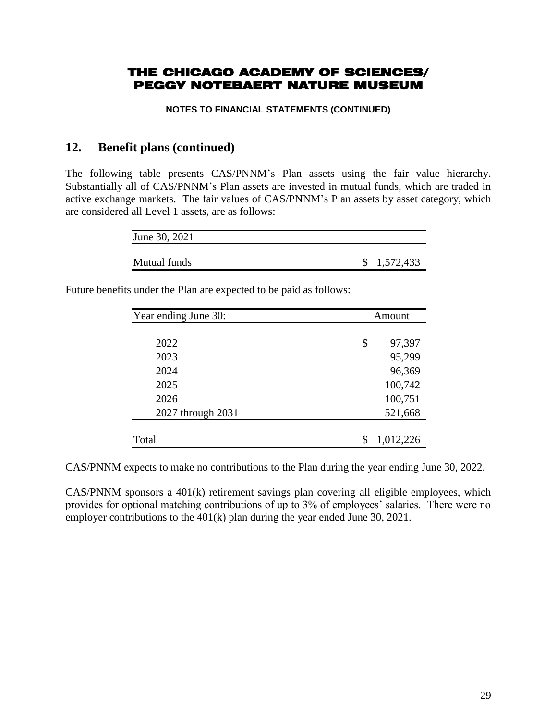**NOTES TO FINANCIAL STATEMENTS (CONTINUED)**

### **12. Benefit plans (continued)**

The following table presents CAS/PNNM's Plan assets using the fair value hierarchy. Substantially all of CAS/PNNM's Plan assets are invested in mutual funds, which are traded in active exchange markets. The fair values of CAS/PNNM's Plan assets by asset category, which are considered all Level 1 assets, are as follows:

| June 30, 2021 |             |
|---------------|-------------|
| Mutual funds  | \$1,572,433 |

Future benefits under the Plan are expected to be paid as follows:

| Year ending June 30: | Amount       |  |
|----------------------|--------------|--|
|                      |              |  |
| 2022                 | \$<br>97,397 |  |
| 2023                 | 95,299       |  |
| 2024                 | 96,369       |  |
| 2025                 | 100,742      |  |
| 2026                 | 100,751      |  |
| 2027 through 2031    | 521,668      |  |
|                      |              |  |
| Total                | 1,012,226    |  |

CAS/PNNM expects to make no contributions to the Plan during the year ending June 30, 2022.

CAS/PNNM sponsors a 401(k) retirement savings plan covering all eligible employees, which provides for optional matching contributions of up to 3% of employees' salaries. There were no employer contributions to the 401(k) plan during the year ended June 30, 2021.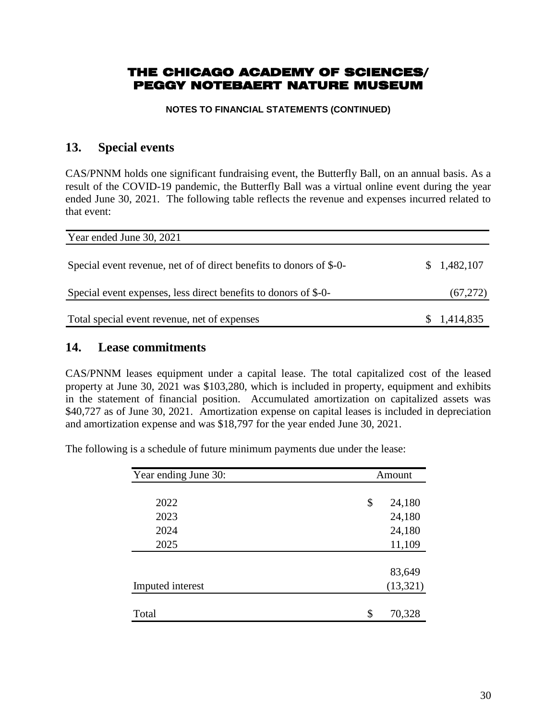**NOTES TO FINANCIAL STATEMENTS (CONTINUED)**

## **13. Special events**

CAS/PNNM holds one significant fundraising event, the Butterfly Ball, on an annual basis. As a result of the COVID-19 pandemic, the Butterfly Ball was a virtual online event during the year ended June 30, 2021. The following table reflects the revenue and expenses incurred related to that event:

| Year ended June 30, 2021                                            |             |
|---------------------------------------------------------------------|-------------|
| Special event revenue, net of of direct benefits to donors of \$-0- | \$1,482,107 |
| Special event expenses, less direct benefits to donors of \$-0-     | (67,272)    |
| Total special event revenue, net of expenses                        | \$1,414,835 |

# **14. Lease commitments**

CAS/PNNM leases equipment under a capital lease. The total capitalized cost of the leased property at June 30, 2021 was \$103,280, which is included in property, equipment and exhibits in the statement of financial position. Accumulated amortization on capitalized assets was \$40,727 as of June 30, 2021. Amortization expense on capital leases is included in depreciation and amortization expense and was \$18,797 for the year ended June 30, 2021.

The following is a schedule of future minimum payments due under the lease:

| Year ending June 30: | Amount       |  |  |
|----------------------|--------------|--|--|
|                      |              |  |  |
| 2022                 | \$<br>24,180 |  |  |
| 2023                 | 24,180       |  |  |
| 2024                 | 24,180       |  |  |
| 2025                 | 11,109       |  |  |
|                      |              |  |  |
|                      | 83,649       |  |  |
| Imputed interest     | (13, 321)    |  |  |
|                      |              |  |  |
| Total                | \$<br>70,328 |  |  |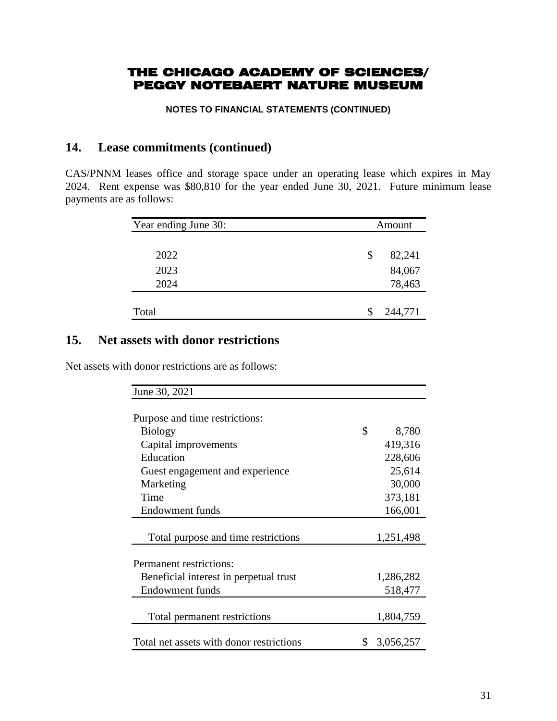**NOTES TO FINANCIAL STATEMENTS (CONTINUED)**

# **14. Lease commitments (continued)**

CAS/PNNM leases office and storage space under an operating lease which expires in May 2024. Rent expense was \$80,810 for the year ended June 30, 2021. Future minimum lease payments are as follows:

| Year ending June 30: | Amount       |  |  |
|----------------------|--------------|--|--|
|                      |              |  |  |
| 2022                 | \$<br>82,241 |  |  |
| 2023                 | 84,067       |  |  |
| 2024                 | 78,463       |  |  |
|                      |              |  |  |
| Total                | 244,771      |  |  |

# **15. Net assets with donor restrictions**

Net assets with donor restrictions are as follows:

| June 30, 2021                            |                 |
|------------------------------------------|-----------------|
|                                          |                 |
| Purpose and time restrictions:           |                 |
| <b>Biology</b>                           | \$<br>8,780     |
| Capital improvements                     | 419,316         |
| Education                                | 228,606         |
| Guest engagement and experience          | 25,614          |
| Marketing                                | 30,000          |
| Time                                     | 373,181         |
| Endowment funds                          | 166,001         |
|                                          |                 |
| Total purpose and time restrictions      | 1,251,498       |
|                                          |                 |
| Permanent restrictions:                  |                 |
| Beneficial interest in perpetual trust   | 1,286,282       |
| Endowment funds                          | 518,477         |
|                                          |                 |
| Total permanent restrictions             | 1,804,759       |
|                                          |                 |
| Total net assets with donor restrictions | \$<br>3,056,257 |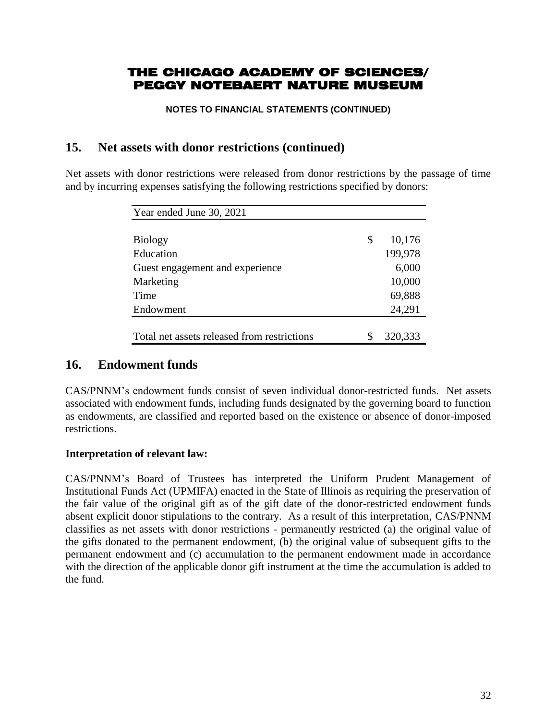**NOTES TO FINANCIAL STATEMENTS (CONTINUED)**

### **15. Net assets with donor restrictions (continued)**

Net assets with donor restrictions were released from donor restrictions by the passage of time and by incurring expenses satisfying the following restrictions specified by donors:

| Year ended June 30, 2021                    |               |
|---------------------------------------------|---------------|
|                                             |               |
| <b>Biology</b>                              | \$<br>10,176  |
| Education                                   | 199,978       |
| Guest engagement and experience             | 6,000         |
| Marketing                                   | 10,000        |
| Time                                        | 69,888        |
| Endowment                                   | 24,291        |
|                                             |               |
| Total net assets released from restrictions | \$<br>320,333 |

# **16. Endowment funds**

CAS/PNNM's endowment funds consist of seven individual donor-restricted funds. Net assets associated with endowment funds, including funds designated by the governing board to function as endowments, are classified and reported based on the existence or absence of donor-imposed restrictions.

### **Interpretation of relevant law:**

CAS/PNNM's Board of Trustees has interpreted the Uniform Prudent Management of Institutional Funds Act (UPMIFA) enacted in the State of Illinois as requiring the preservation of the fair value of the original gift as of the gift date of the donor-restricted endowment funds absent explicit donor stipulations to the contrary. As a result of this interpretation, CAS/PNNM classifies as net assets with donor restrictions - permanently restricted (a) the original value of the gifts donated to the permanent endowment, (b) the original value of subsequent gifts to the permanent endowment and (c) accumulation to the permanent endowment made in accordance with the direction of the applicable donor gift instrument at the time the accumulation is added to the fund.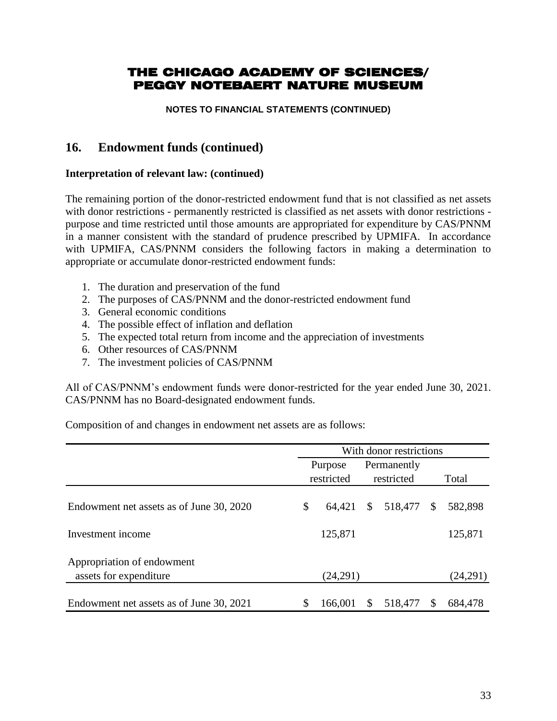**NOTES TO FINANCIAL STATEMENTS (CONTINUED)**

## **16. Endowment funds (continued)**

### **Interpretation of relevant law: (continued)**

The remaining portion of the donor-restricted endowment fund that is not classified as net assets with donor restrictions - permanently restricted is classified as net assets with donor restrictions purpose and time restricted until those amounts are appropriated for expenditure by CAS/PNNM in a manner consistent with the standard of prudence prescribed by UPMIFA. In accordance with UPMIFA, CAS/PNNM considers the following factors in making a determination to appropriate or accumulate donor-restricted endowment funds:

- 1. The duration and preservation of the fund
- 2. The purposes of CAS/PNNM and the donor-restricted endowment fund
- 3. General economic conditions
- 4. The possible effect of inflation and deflation
- 5. The expected total return from income and the appreciation of investments
- 6. Other resources of CAS/PNNM
- 7. The investment policies of CAS/PNNM

All of CAS/PNNM's endowment funds were donor-restricted for the year ended June 30, 2021. CAS/PNNM has no Board-designated endowment funds.

Composition of and changes in endowment net assets are as follows:

|                                          | With donor restrictions |               |             |               |          |  |
|------------------------------------------|-------------------------|---------------|-------------|---------------|----------|--|
|                                          | Purpose                 |               | Permanently |               |          |  |
|                                          | restricted              |               | restricted  |               | Total    |  |
| Endowment net assets as of June 30, 2020 | \$<br>64,421            | $\mathcal{S}$ | 518,477     | <sup>\$</sup> | 582,898  |  |
| Investment income                        | 125,871                 |               |             |               | 125,871  |  |
| Appropriation of endowment               |                         |               |             |               |          |  |
| assets for expenditure                   | (24,291)                |               |             |               | (24,291) |  |
|                                          |                         |               |             |               |          |  |
| Endowment net assets as of June 30, 2021 | \$<br>166,001           | \$            | 518,477     |               | 684,478  |  |